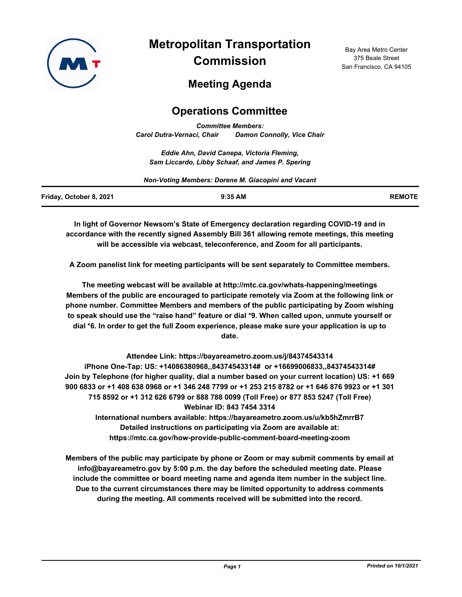

**Metropolitan Transportation Commission**

Bay Area Metro Center 375 Beale Street San Francisco, CA 94105

# **Meeting Agenda**

## **Operations Committee**

*Committee Members: Carol Dutra-Vernaci, Chair Damon Connolly, Vice Chair*

*Eddie Ahn, David Canepa, Victoria Fleming, Sam Liccardo, Libby Schaaf, and James P. Spering*

| Non-Voting Members: Dorene M. Giacopini and Vacant |           |               |
|----------------------------------------------------|-----------|---------------|
| Friday, October 8, 2021                            | $9:35$ AM | <b>REMOTE</b> |

**In light of Governor Newsom's State of Emergency declaration regarding COVID-19 and in accordance with the recently signed Assembly Bill 361 allowing remote meetings, this meeting will be accessible via webcast, teleconference, and Zoom for all participants.**

**A Zoom panelist link for meeting participants will be sent separately to Committee members.**

**The meeting webcast will be available at http://mtc.ca.gov/whats-happening/meetings Members of the public are encouraged to participate remotely via Zoom at the following link or phone number. Committee Members and members of the public participating by Zoom wishing to speak should use the "raise hand" feature or dial \*9. When called upon, unmute yourself or dial \*6. In order to get the full Zoom experience, please make sure your application is up to date.**

**Attendee Link: https://bayareametro.zoom.us/j/84374543314 iPhone One-Tap: US: +14086380968,,84374543314# or +16699006833,,84374543314# Join by Telephone (for higher quality, dial a number based on your current location) US: +1 669 900 6833 or +1 408 638 0968 or +1 346 248 7799 or +1 253 215 8782 or +1 646 876 9923 or +1 301 715 8592 or +1 312 626 6799 or 888 788 0099 (Toll Free) or 877 853 5247 (Toll Free) Webinar ID: 843 7454 3314 International numbers available: https://bayareametro.zoom.us/u/kb5hZmrrB7**

**Detailed instructions on participating via Zoom are available at: https://mtc.ca.gov/how-provide-public-comment-board-meeting-zoom**

**Members of the public may participate by phone or Zoom or may submit comments by email at info@bayareametro.gov by 5:00 p.m. the day before the scheduled meeting date. Please include the committee or board meeting name and agenda item number in the subject line. Due to the current circumstances there may be limited opportunity to address comments during the meeting. All comments received will be submitted into the record.**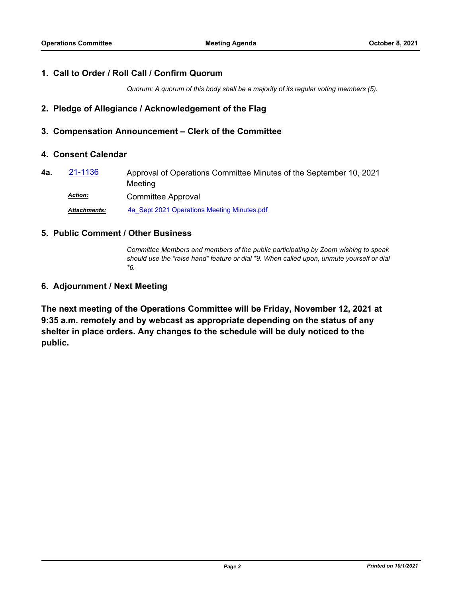## **1. Call to Order / Roll Call / Confirm Quorum**

*Quorum: A quorum of this body shall be a majority of its regular voting members (5).*

## **2. Pledge of Allegiance / Acknowledgement of the Flag**

#### **3. Compensation Announcement – Clerk of the Committee**

#### **4. Consent Calendar**

Approval of Operations Committee Minutes of the September 10, 2021 Meeting **4a.** [21-1136](http://mtc.legistar.com/gateway.aspx?m=l&id=/matter.aspx?key=22729) Committee Approval *Action: Attachments:* [4a\\_Sept 2021 Operations Meeting Minutes.pdf](http://mtc.legistar.com/gateway.aspx?M=F&ID=71cd68f3-e049-425e-ad49-ae8530754fd1.pdf)

# **5. Public Comment / Other Business**

*Committee Members and members of the public participating by Zoom wishing to speak should use the "raise hand" feature or dial \*9. When called upon, unmute yourself or dial \*6.*

#### **6. Adjournment / Next Meeting**

**The next meeting of the Operations Committee will be Friday, November 12, 2021 at 9:35 a.m. remotely and by webcast as appropriate depending on the status of any shelter in place orders. Any changes to the schedule will be duly noticed to the public.**